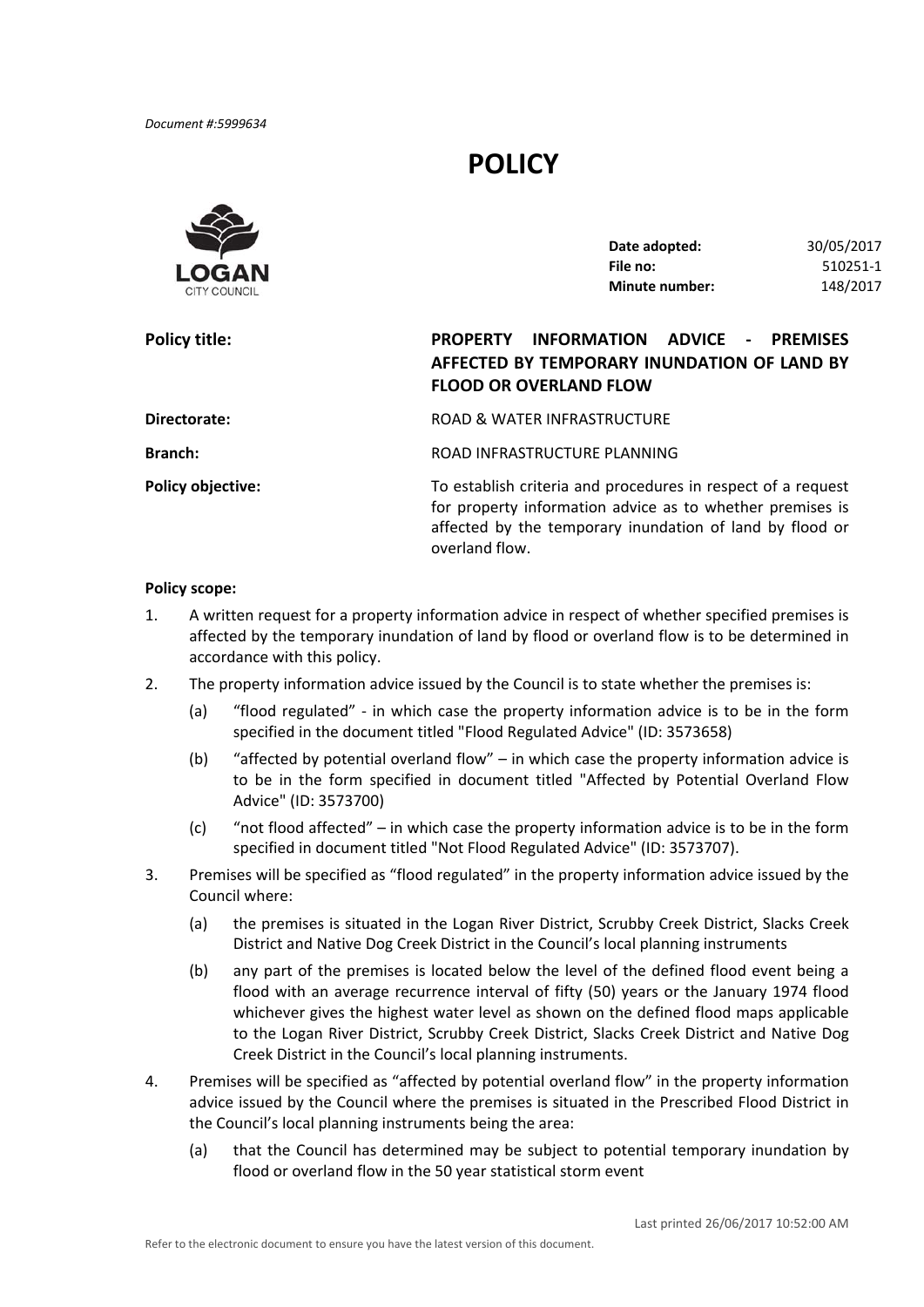*Document #:5999634*

# **POLICY**



**Policy title:** 

| Date adopted:  | 30/05/2017 |
|----------------|------------|
| File no:       | 510251-1   |
| Minute number: | 148/2017   |

# **Policy title: PROPERTY INFORMATION ADVICE ‐ PREMISES AFFECTED BY TEMPORARY INUNDATION OF LAND BY FLOOD OR OVERLAND FLOW**

| Directorate:             | ROAD & WATER INFRASTRUCTURE                                                                                               |
|--------------------------|---------------------------------------------------------------------------------------------------------------------------|
| <b>Branch:</b>           | ROAD INFRASTRUCTURE PLANNING                                                                                              |
| <b>Policy objective:</b> | To establish criteria and procedures in respect of a request<br>for property information advice as to whether premises is |

for property information advice as to whether premises is affected by the temporary inundation of land by flood or overland flow.

#### **Policy scope:**

- 1. A written request for a property information advice in respect of whether specified premises is affected by the temporary inundation of land by flood or overland flow is to be determined in accordance with this policy.
- 2. The property information advice issued by the Council is to state whether the premises is:
	- (a) "flood regulated" ‐ in which case the property information advice is to be in the form specified in the document titled "Flood Regulated Advice" (ID: 3573658)
	- (b) "affected by potential overland flow" in which case the property information advice is to be in the form specified in document titled "Affected by Potential Overland Flow Advice" (ID: 3573700)
	- (c) "not flood affected" in which case the property information advice is to be in the form specified in document titled "Not Flood Regulated Advice" (ID: 3573707).
- 3. Premises will be specified as "flood regulated" in the property information advice issued by the Council where:
	- (a) the premises is situated in the Logan River District, Scrubby Creek District, Slacks Creek District and Native Dog Creek District in the Council's local planning instruments
	- (b) any part of the premises is located below the level of the defined flood event being a flood with an average recurrence interval of fifty (50) years or the January 1974 flood whichever gives the highest water level as shown on the defined flood maps applicable to the Logan River District, Scrubby Creek District, Slacks Creek District and Native Dog Creek District in the Council's local planning instruments.
- 4. Premises will be specified as "affected by potential overland flow" in the property information advice issued by the Council where the premises is situated in the Prescribed Flood District in the Council's local planning instruments being the area:
	- (a) that the Council has determined may be subject to potential temporary inundation by flood or overland flow in the 50 year statistical storm event